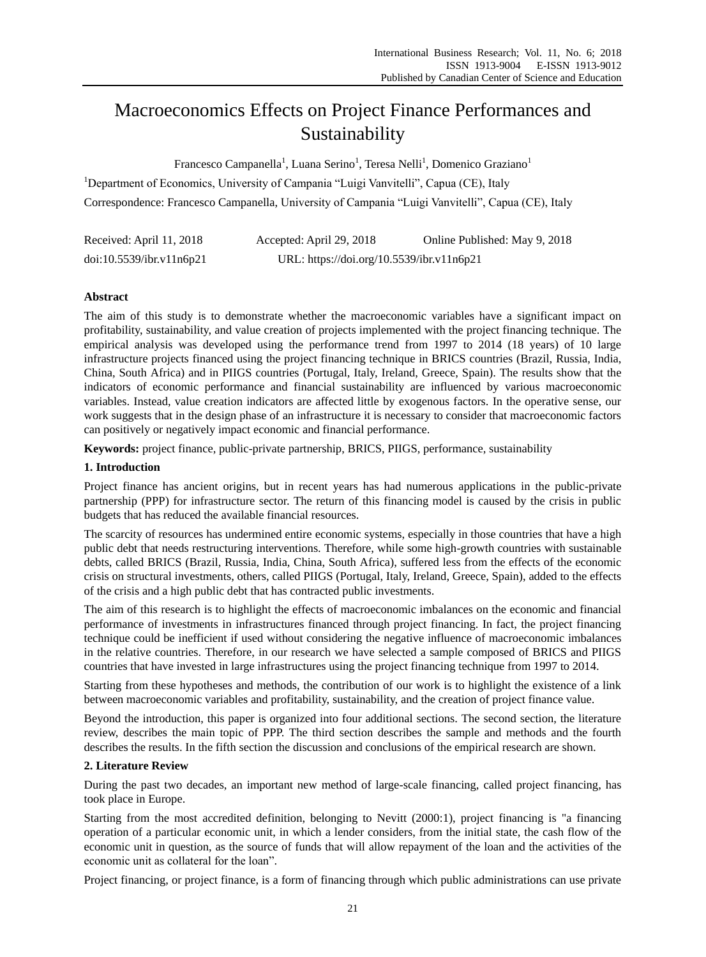# Macroeconomics Effects on Project Finance Performances and Sustainability

Francesco Campanella<sup>1</sup>, Luana Serino<sup>1</sup>, Teresa Nelli<sup>1</sup>, Domenico Graziano<sup>1</sup>

<sup>1</sup>Department of Economics, University of Campania "Luigi Vanvitelli", Capua (CE), Italy Correspondence: Francesco Campanella, University of Campania "Luigi Vanvitelli", Capua (CE), Italy

| Received: April 11, 2018 | Accepted: April 29, 2018                  | Online Published: May 9, 2018 |
|--------------------------|-------------------------------------------|-------------------------------|
| doi:10.5539/ibr.v11n6p21 | URL: https://doi.org/10.5539/ibr.v11n6p21 |                               |

# **Abstract**

The aim of this study is to demonstrate whether the macroeconomic variables have a significant impact on profitability, sustainability, and value creation of projects implemented with the project financing technique. The empirical analysis was developed using the performance trend from 1997 to 2014 (18 years) of 10 large infrastructure projects financed using the project financing technique in BRICS countries (Brazil, Russia, India, China, South Africa) and in PIIGS countries (Portugal, Italy, Ireland, Greece, Spain). The results show that the indicators of economic performance and financial sustainability are influenced by various macroeconomic variables. Instead, value creation indicators are affected little by exogenous factors. In the operative sense, our work suggests that in the design phase of an infrastructure it is necessary to consider that macroeconomic factors can positively or negatively impact economic and financial performance.

**Keywords:** project finance, public-private partnership, BRICS, PIIGS, performance, sustainability

## **1. Introduction**

Project finance has ancient origins, but in recent years has had numerous applications in the public-private partnership (PPP) for infrastructure sector. The return of this financing model is caused by the crisis in public budgets that has reduced the available financial resources.

The scarcity of resources has undermined entire economic systems, especially in those countries that have a high public debt that needs restructuring interventions. Therefore, while some high-growth countries with sustainable debts, called BRICS (Brazil, Russia, India, China, South Africa), suffered less from the effects of the economic crisis on structural investments, others, called PIIGS (Portugal, Italy, Ireland, Greece, Spain), added to the effects of the crisis and a high public debt that has contracted public investments.

The aim of this research is to highlight the effects of macroeconomic imbalances on the economic and financial performance of investments in infrastructures financed through project financing. In fact, the project financing technique could be inefficient if used without considering the negative influence of macroeconomic imbalances in the relative countries. Therefore, in our research we have selected a sample composed of BRICS and PIIGS countries that have invested in large infrastructures using the project financing technique from 1997 to 2014.

Starting from these hypotheses and methods, the contribution of our work is to highlight the existence of a link between macroeconomic variables and profitability, sustainability, and the creation of project finance value.

Beyond the introduction, this paper is organized into four additional sections. The second section, the literature review, describes the main topic of PPP. The third section describes the sample and methods and the fourth describes the results. In the fifth section the discussion and conclusions of the empirical research are shown.

## **2. Literature Review**

During the past two decades, an important new method of large-scale financing, called project financing, has took place in Europe.

Starting from the most accredited definition, belonging to Nevitt (2000:1), project financing is "a financing operation of a particular economic unit, in which a lender considers, from the initial state, the cash flow of the economic unit in question, as the source of funds that will allow repayment of the loan and the activities of the economic unit as collateral for the loan".

Project financing, or project finance, is a form of financing through which public administrations can use private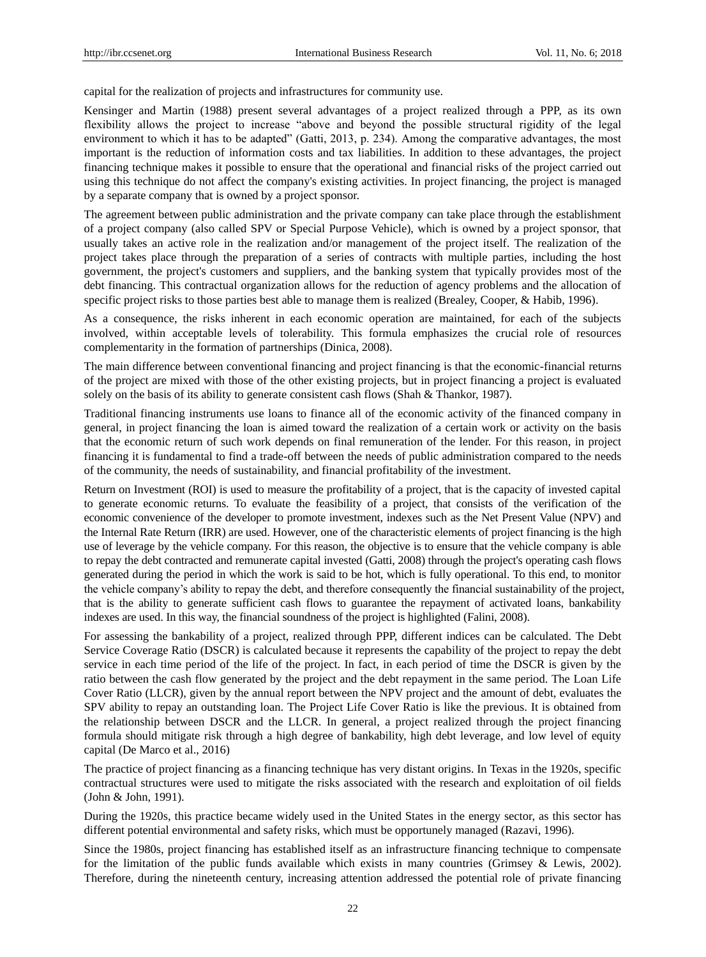capital for the realization of projects and infrastructures for community use.

Kensinger and Martin (1988) present several advantages of a project realized through a PPP, as its own flexibility allows the project to increase "above and beyond the possible structural rigidity of the legal environment to which it has to be adapted" (Gatti, 2013, p. 234). Among the comparative advantages, the most important is the reduction of information costs and tax liabilities. In addition to these advantages, the project financing technique makes it possible to ensure that the operational and financial risks of the project carried out using this technique do not affect the company's existing activities. In project financing, the project is managed by a separate company that is owned by a project sponsor.

The agreement between public administration and the private company can take place through the establishment of a project company (also called SPV or Special Purpose Vehicle), which is owned by a project sponsor, that usually takes an active role in the realization and/or management of the project itself. The realization of the project takes place through the preparation of a series of contracts with multiple parties, including the host government, the project's customers and suppliers, and the banking system that typically provides most of the debt financing. This contractual organization allows for the reduction of agency problems and the allocation of specific project risks to those parties best able to manage them is realized (Brealey, Cooper, & Habib, 1996).

As a consequence, the risks inherent in each economic operation are maintained, for each of the subjects involved, within acceptable levels of tolerability. This formula emphasizes the crucial role of resources complementarity in the formation of partnerships (Dinica, 2008).

The main difference between conventional financing and project financing is that the economic-financial returns of the project are mixed with those of the other existing projects, but in project financing a project is evaluated solely on the basis of its ability to generate consistent cash flows (Shah & Thankor, 1987).

Traditional financing instruments use loans to finance all of the economic activity of the financed company in general, in project financing the loan is aimed toward the realization of a certain work or activity on the basis that the economic return of such work depends on final remuneration of the lender. For this reason, in project financing it is fundamental to find a trade-off between the needs of public administration compared to the needs of the community, the needs of sustainability, and financial profitability of the investment.

Return on Investment (ROI) is used to measure the profitability of a project, that is the capacity of invested capital to generate economic returns. To evaluate the feasibility of a project, that consists of the verification of the economic convenience of the developer to promote investment, indexes such as the Net Present Value (NPV) and the Internal Rate Return (IRR) are used. However, one of the characteristic elements of project financing is the high use of leverage by the vehicle company. For this reason, the objective is to ensure that the vehicle company is able to repay the debt contracted and remunerate capital invested (Gatti, 2008) through the project's operating cash flows generated during the period in which the work is said to be hot, which is fully operational. To this end, to monitor the vehicle company's ability to repay the debt, and therefore consequently the financial sustainability of the project, that is the ability to generate sufficient cash flows to guarantee the repayment of activated loans, bankability indexes are used. In this way, the financial soundness of the project is highlighted (Falini, 2008).

For assessing the bankability of a project, realized through PPP, different indices can be calculated. The Debt Service Coverage Ratio (DSCR) is calculated because it represents the capability of the project to repay the debt service in each time period of the life of the project. In fact, in each period of time the DSCR is given by the ratio between the cash flow generated by the project and the debt repayment in the same period. The Loan Life Cover Ratio (LLCR), given by the annual report between the NPV project and the amount of debt, evaluates the SPV ability to repay an outstanding loan. The Project Life Cover Ratio is like the previous. It is obtained from the relationship between DSCR and the LLCR. In general, a project realized through the project financing formula should mitigate risk through a high degree of bankability, high debt leverage, and low level of equity capital (De Marco et al., 2016)

The practice of project financing as a financing technique has very distant origins. In Texas in the 1920s, specific contractual structures were used to mitigate the risks associated with the research and exploitation of oil fields (John & John, 1991).

During the 1920s, this practice became widely used in the United States in the energy sector, as this sector has different potential environmental and safety risks, which must be opportunely managed (Razavi, 1996).

Since the 1980s, project financing has established itself as an infrastructure financing technique to compensate for the limitation of the public funds available which exists in many countries (Grimsey & Lewis, 2002). Therefore, during the nineteenth century, increasing attention addressed the potential role of private financing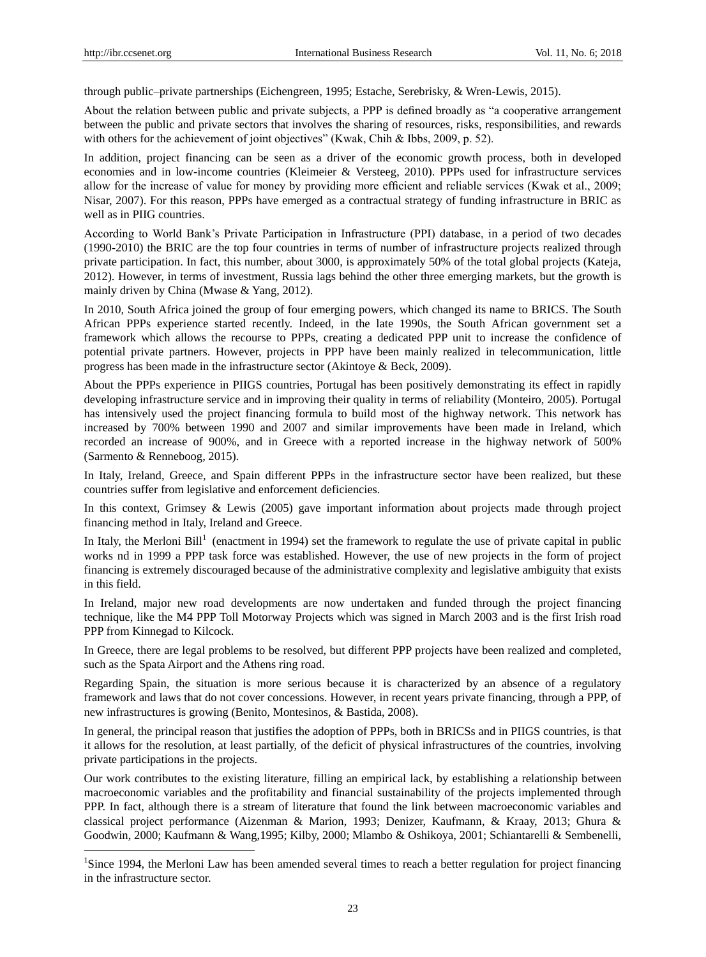-

through public–private partnerships (Eichengreen, 1995; Estache, Serebrisky, & Wren-Lewis, 2015).

About the relation between public and private subjects, a PPP is defined broadly as "a cooperative arrangement between the public and private sectors that involves the sharing of resources, risks, responsibilities, and rewards with others for the achievement of joint objectives" (Kwak, Chih & Ibbs, 2009, p. 52).

In addition, project financing can be seen as a driver of the economic growth process, both in developed economies and in low-income countries (Kleimeier & Versteeg, 2010). PPPs used for infrastructure services allow for the increase of value for money by providing more efficient and reliable services (Kwak et al., 2009; Nisar, 2007). For this reason, PPPs have emerged as a contractual strategy of funding infrastructure in BRIC as well as in PIIG countries.

According to World Bank's Private Participation in Infrastructure (PPI) database, in a period of two decades (1990-2010) the BRIC are the top four countries in terms of number of infrastructure projects realized through private participation. In fact, this number, about 3000, is approximately 50% of the total global projects (Kateja, 2012). However, in terms of investment, Russia lags behind the other three emerging markets, but the growth is mainly driven by China (Mwase & Yang, 2012).

In 2010, South Africa joined the group of four emerging powers, which changed its name to BRICS. The South African PPPs experience started recently. Indeed, in the late 1990s, the South African government set a framework which allows the recourse to PPPs, creating a dedicated PPP unit to increase the confidence of potential private partners. However, projects in PPP have been mainly realized in telecommunication, little progress has been made in the infrastructure sector (Akintoye & Beck, 2009).

About the PPPs experience in PIIGS countries, Portugal has been positively demonstrating its effect in rapidly developing infrastructure service and in improving their quality in terms of reliability (Monteiro, 2005). Portugal has intensively used the project financing formula to build most of the highway network. This network has increased by 700% between 1990 and 2007 and similar improvements have been made in Ireland, which recorded an increase of 900%, and in Greece with a reported increase in the highway network of 500% (Sarmento & Renneboog, 2015).

In Italy, Ireland, Greece, and Spain different PPPs in the infrastructure sector have been realized, but these countries suffer from legislative and enforcement deficiencies.

In this context, Grimsey & Lewis (2005) gave important information about projects made through project financing method in Italy, Ireland and Greece.

In Italy, the Merloni  $Bill<sup>1</sup>$  (enactment in 1994) set the framework to regulate the use of private capital in public works nd in 1999 a PPP task force was established. However, the use of new projects in the form of project financing is extremely discouraged because of the administrative complexity and legislative ambiguity that exists in this field.

In Ireland, major new road developments are now undertaken and funded through the project financing technique, like the M4 PPP Toll Motorway Projects which was signed in March 2003 and is the first Irish road PPP from Kinnegad to Kilcock.

In Greece, there are legal problems to be resolved, but different PPP projects have been realized and completed, such as the Spata Airport and the Athens ring road.

Regarding Spain, the situation is more serious because it is characterized by an absence of a regulatory framework and laws that do not cover concessions. However, in recent years private financing, through a PPP, of new infrastructures is growing (Benito, Montesinos, & Bastida, 2008).

In general, the principal reason that justifies the adoption of PPPs, both in BRICSs and in PIIGS countries, is that it allows for the resolution, at least partially, of the deficit of physical infrastructures of the countries, involving private participations in the projects.

Our work contributes to the existing literature, filling an empirical lack, by establishing a relationship between macroeconomic variables and the profitability and financial sustainability of the projects implemented through PPP. In fact, although there is a stream of literature that found the link between macroeconomic variables and classical project performance (Aizenman & Marion, 1993; Denizer, Kaufmann, & Kraay, 2013; Ghura & Goodwin, 2000; Kaufmann & Wang,1995; Kilby, 2000; Mlambo & Oshikoya, 2001; Schiantarelli & Sembenelli,

<sup>&</sup>lt;sup>1</sup>Since 1994, the Merloni Law has been amended several times to reach a better regulation for project financing in the infrastructure sector.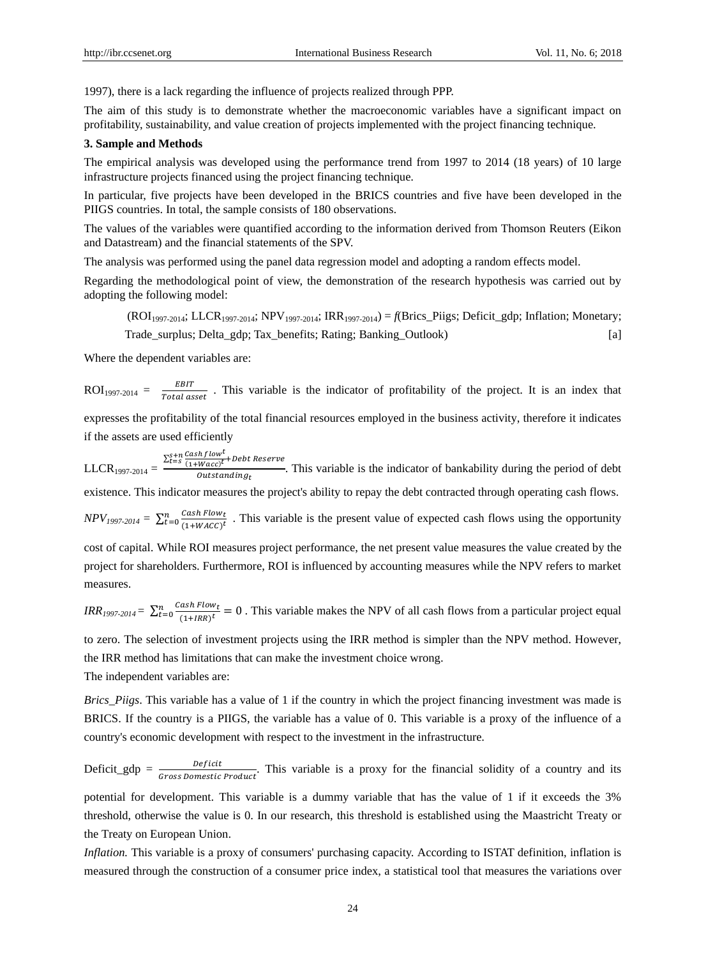1997), there is a lack regarding the influence of projects realized through PPP.

The aim of this study is to demonstrate whether the macroeconomic variables have a significant impact on profitability, sustainability, and value creation of projects implemented with the project financing technique.

## **3. Sample and Methods**

The empirical analysis was developed using the performance trend from 1997 to 2014 (18 years) of 10 large infrastructure projects financed using the project financing technique.

In particular, five projects have been developed in the BRICS countries and five have been developed in the PIIGS countries. In total, the sample consists of 180 observations.

The values of the variables were quantified according to the information derived from Thomson Reuters (Eikon and Datastream) and the financial statements of the SPV.

The analysis was performed using the panel data regression model and adopting a random effects model.

Regarding the methodological point of view, the demonstration of the research hypothesis was carried out by adopting the following model:

(ROI1997-2014; LLCR1997-2014; NPV1997-2014; IRR1997-2014) = *f*(Brics\_Piigs; Deficit\_gdp; Inflation; Monetary; Trade surplus; Delta gdp; Tax benefits; Rating; Banking Outlook) [a]

Where the dependent variables are:

 $\text{ROI}_{1997-2014} = \frac{E}{\text{Total}}$  $\frac{2511}{Total\, asset}$ . This variable is the indicator of profitability of the project. It is an index that

expresses the profitability of the total financial resources employed in the business activity, therefore it indicates if the assets are used efficiently

$$
LLCR_{1997-2014} = \frac{\sum_{t=s}^{s+n} \frac{Cash flow^{t}}{(1+Wacc)^{t}} + Debt\; Reserve}{Outstanding_t}
$$
. This variable is the indicator of bankability during the period of debt

existence. This indicator measures the project's ability to repay the debt contracted through operating cash flows.

 $NPV_{1997\text{-}2014} = \sum_{t=0}^{n} \frac{c}{t}$  $\frac{a_{\text{asn}+\text{low}_t}}{a_{\text{at}+\text{WACC}}t}$ . This variable is the present value of expected cash flows using the opportunity

cost of capital. While ROI measures project performance, the net present value measures the value created by the project for shareholders. Furthermore, ROI is influenced by accounting measures while the NPV refers to market measures.

*IRR*<sub>1997-2014</sub> =  $\sum_{t=0}^{n} \frac{c}{t}$  $\int_{0}^{n} \frac{cosh F l \omega v_t}{(1 + IRR)^t}$  = 0. This variable makes the NPV of all cash flows from a particular project equal

to zero. The selection of investment projects using the IRR method is simpler than the NPV method. However, the IRR method has limitations that can make the investment choice wrong.

The independent variables are:

*Brics\_Piigs*. This variable has a value of 1 if the country in which the project financing investment was made is BRICS. If the country is a PIIGS, the variable has a value of 0. This variable is a proxy of the influence of a country's economic development with respect to the investment in the infrastructure.

Deficit\_gdp =  $\frac{begin}{Gross\;Domestic\;Product}}{Gross\;Domestic\;Product}$ . This variable is a proxy for the financial solidity of a country and its

potential for development. This variable is a dummy variable that has the value of 1 if it exceeds the 3% threshold, otherwise the value is 0. In our research, this threshold is established using the Maastricht Treaty or the Treaty on European Union.

*Inflation.* This variable is a proxy of consumers' purchasing capacity. According to ISTAT definition, inflation is measured through the construction of a consumer price index, a statistical tool that measures the variations over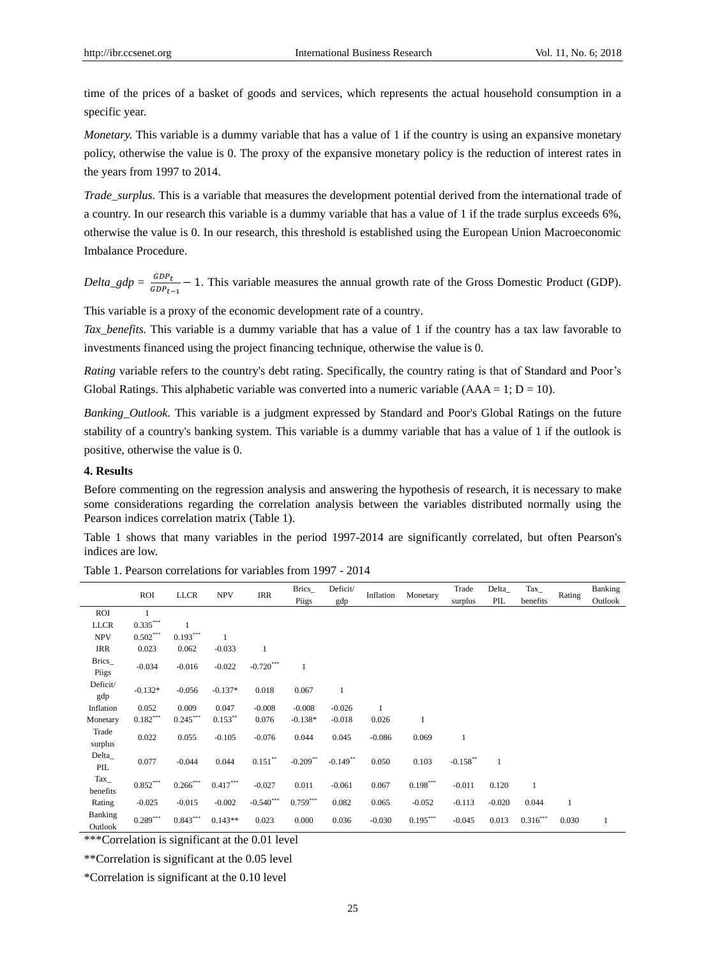time of the prices of a basket of goods and services, which represents the actual household consumption in a specific year.

*Monetary.* This variable is a dummy variable that has a value of 1 if the country is using an expansive monetary policy, otherwise the value is 0. The proxy of the expansive monetary policy is the reduction of interest rates in the years from 1997 to 2014.

*Trade\_surplus.* This is a variable that measures the development potential derived from the international trade of a country. In our research this variable is a dummy variable that has a value of 1 if the trade surplus exceeds 6%, otherwise the value is 0. In our research, this threshold is established using the European Union Macroeconomic Imbalance Procedure.

 $Delta_gdp = \frac{G}{cV}$  $\frac{d_{DFT}}{d_{DPL-1}}$  – 1. This variable measures the annual growth rate of the Gross Domestic Product (GDP).

This variable is a proxy of the economic development rate of a country.

*Tax\_benefits.* This variable is a dummy variable that has a value of 1 if the country has a tax law favorable to investments financed using the project financing technique, otherwise the value is 0.

*Rating* variable refers to the country's debt rating. Specifically, the country rating is that of Standard and Poor's Global Ratings. This alphabetic variable was converted into a numeric variable  $(AAA = 1; D = 10)$ .

*Banking\_Outlook.* This variable is a judgment expressed by Standard and Poor's Global Ratings on the future stability of a country's banking system. This variable is a dummy variable that has a value of 1 if the outlook is positive, otherwise the value is 0.

#### **4. Results**

Before commenting on the regression analysis and answering the hypothesis of research, it is necessary to make some considerations regarding the correlation analysis between the variables distributed normally using the Pearson indices correlation matrix (Table 1).

Table 1 shows that many variables in the period 1997-2014 are significantly correlated, but often Pearson's indices are low.

|                              | <b>ROI</b>   | <b>LLCR</b> | <b>NPV</b> | <b>IRR</b>   | Brics_                 | Deficit/    | Inflation | Monetary   | Trade        | Delta_       | $\text{Tax}_{-}$ | Rating | <b>Banking</b> |
|------------------------------|--------------|-------------|------------|--------------|------------------------|-------------|-----------|------------|--------------|--------------|------------------|--------|----------------|
|                              |              |             |            |              | Piigs                  | gdp         |           |            | surplus      | PIL          | benefits         |        | Outlook        |
| <b>ROI</b>                   | $\mathbf{1}$ |             |            |              |                        |             |           |            |              |              |                  |        |                |
| <b>LLCR</b>                  | $0.335***$   | 1           |            |              |                        |             |           |            |              |              |                  |        |                |
| <b>NPV</b>                   | $0.502***$   | $0.193***$  | 1          |              |                        |             |           |            |              |              |                  |        |                |
| <b>IRR</b>                   | 0.023        | 0.062       | $-0.033$   | $\mathbf{1}$ |                        |             |           |            |              |              |                  |        |                |
| Brics_<br>Piigs              | $-0.034$     | $-0.016$    | $-0.022$   | $-0.720***$  | 1                      |             |           |            |              |              |                  |        |                |
| Deficit/<br>gdp              | $-0.132*$    | $-0.056$    | $-0.137*$  | 0.018        | 0.067                  | 1           |           |            |              |              |                  |        |                |
| Inflation                    | 0.052        | 0.009       | 0.047      | $-0.008$     | $-0.008$               | $-0.026$    | 1         |            |              |              |                  |        |                |
| Monetary                     | $0.182***$   | $0.245***$  | $0.153***$ | 0.076        | $-0.138*$              | $-0.018$    | 0.026     | 1          |              |              |                  |        |                |
| Trade<br>surplus             | 0.022        | 0.055       | $-0.105$   | $-0.076$     | 0.044                  | 0.045       | $-0.086$  | 0.069      | $\mathbf{1}$ |              |                  |        |                |
| Delta_<br>PIL                | 0.077        | $-0.044$    | 0.044      | $0.151$ **   | $-0.209$ <sup>**</sup> | $-0.149$ ** | 0.050     | 0.103      | $-0.158$ **  | $\mathbf{1}$ |                  |        |                |
| $\text{Tax}_{-}$<br>benefits | $0.852***$   | $0.266***$  | $0.417***$ | $-0.027$     | 0.011                  | $-0.061$    | 0.067     | $0.198***$ | $-0.011$     | 0.120        | $\mathbf{1}$     |        |                |
| Rating                       | $-0.025$     | $-0.015$    | $-0.002$   | $-0.540***$  | $0.759***$             | 0.082       | 0.065     | $-0.052$   | $-0.113$     | $-0.020$     | 0.044            | 1      |                |
| Banking<br>Outlook           | $0.289***$   | $0.843***$  | $0.143**$  | 0.023        | 0.000                  | 0.036       | $-0.030$  | $0.195***$ | $-0.045$     | 0.013        | $0.316***$       | 0.030  | 1              |

Table 1. Pearson correlations for variables from 1997 - 2014

\*\*\*Correlation is significant at the 0.01 level

\*\*Correlation is significant at the 0.05 level

\*Correlation is significant at the 0.10 level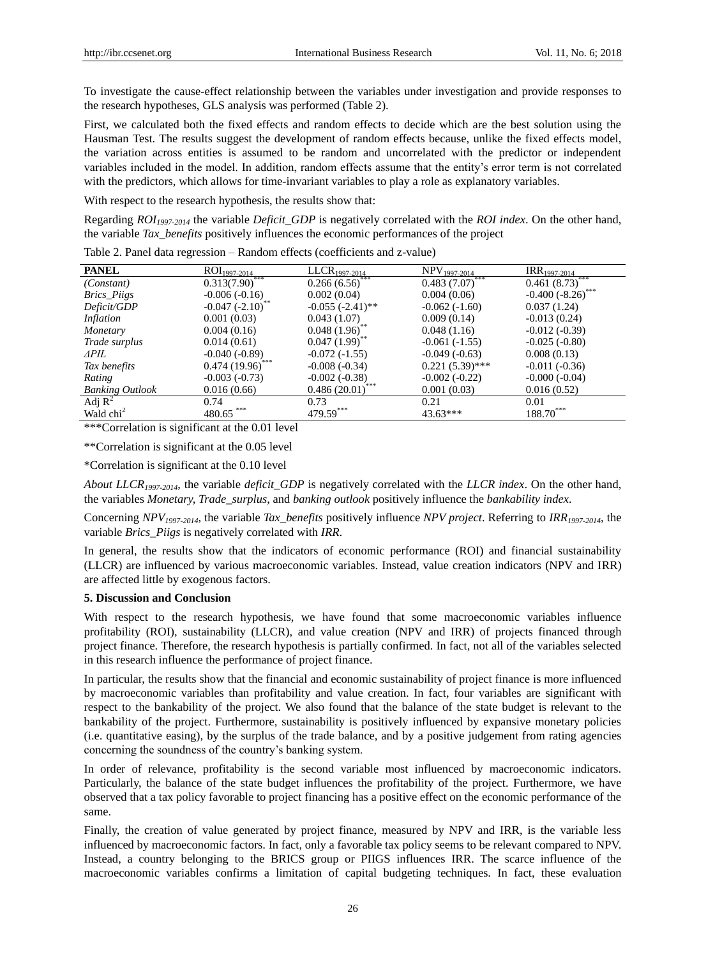To investigate the cause-effect relationship between the variables under investigation and provide responses to the research hypotheses, GLS analysis was performed (Table 2).

First, we calculated both the fixed effects and random effects to decide which are the best solution using the Hausman Test. The results suggest the development of random effects because, unlike the fixed effects model, the variation across entities is assumed to be random and uncorrelated with the predictor or independent variables included in the model. In addition, random effects assume that the entity's error term is not correlated with the predictors, which allows for time-invariant variables to play a role as explanatory variables.

With respect to the research hypothesis, the results show that:

Regarding *ROI1997-2014* the variable *Deficit\_GDP* is negatively correlated with the *ROI index*. On the other hand, the variable *Tax\_benefits* positively influences the economic performances of the project

| <b>PANEL</b>           | $ROI_{1997-2014}$ | LLCR <sub>1997-2014</sub>  | NPV <sub>1997-2014</sub> | $\rm{IRR}_{1997-2014}$ |
|------------------------|-------------------|----------------------------|--------------------------|------------------------|
| (Constant)             | $0.313(7.90)$ *** | 0.266(6.56)                | 0.483(7.07)              | . 本本本<br>0.461(8.73)   |
| Brics Piigs            | $-0.006(-0.16)$   | 0.002(0.04)                | 0.004(0.06)              | $-0.400(-8.26)$        |
| Deficit/GDP            | $-0.047(-2.10)$   | $-0.055(-2.41)$ **         | $-0.062(-1.60)$          | 0.037(1.24)            |
| Inflation              | 0.001(0.03)       | 0.043(1.07)                | 0.009(0.14)              | $-0.013(0.24)$         |
| Monetary               | 0.004(0.16)       | $0.048(1.96)$ <sup>*</sup> | 0.048(1.16)              | $-0.012(-0.39)$        |
| Trade surplus          | 0.014(0.61)       | 0.047(1.99)                | $-0.061(-1.55)$          | $-0.025(-0.80)$        |
| ⊿PIL                   | $-0.040(-0.89)$   | $-0.072(-1.55)$            | $-0.049(-0.63)$          | 0.008(0.13)            |
| Tax benefits           | 0.474(19.96)      | $-0.008(-0.34)$            | $0.221(5.39)$ ***        | $-0.011(-0.36)$        |
| Rating                 | $-0.003(-0.73)$   | $-0.002(-0.38)$            | $-0.002(-0.22)$          | $-0.000(-0.04)$        |
| <b>Banking Outlook</b> | 0.016(0.66)       | 0.486(20.01)               | 0.001(0.03)              | 0.016(0.52)            |
| Adj $\mathbb{R}^2$     | 0.74              | 0.73                       | 0.21                     | 0.01                   |
| Wald chi <sup>2</sup>  | 480.65***         | 479.59***                  | 43.63***                 | 188.70***              |

Table 2. Panel data regression – Random effects (coefficients and z-value)

\*\*\*Correlation is significant at the 0.01 level

\*\*Correlation is significant at the 0.05 level

\*Correlation is significant at the 0.10 level

*About LLCR1997-2014*, the variable *deficit\_GDP* is negatively correlated with the *LLCR index*. On the other hand, the variables *Monetary, Trade\_surplus*, and *banking outlook* positively influence the *bankability index*.

Concerning *NPV1997-2014*, the variable *Tax\_benefits* positively influence *NPV project*. Referring to *IRR1997-2014*, the variable *Brics\_Piigs* is negatively correlated with *IRR*.

In general, the results show that the indicators of economic performance (ROI) and financial sustainability (LLCR) are influenced by various macroeconomic variables. Instead, value creation indicators (NPV and IRR) are affected little by exogenous factors.

## **5. Discussion and Conclusion**

With respect to the research hypothesis, we have found that some macroeconomic variables influence profitability (ROI), sustainability (LLCR), and value creation (NPV and IRR) of projects financed through project finance. Therefore, the research hypothesis is partially confirmed. In fact, not all of the variables selected in this research influence the performance of project finance.

In particular, the results show that the financial and economic sustainability of project finance is more influenced by macroeconomic variables than profitability and value creation. In fact, four variables are significant with respect to the bankability of the project. We also found that the balance of the state budget is relevant to the bankability of the project. Furthermore, sustainability is positively influenced by expansive monetary policies (i.e. quantitative easing), by the surplus of the trade balance, and by a positive judgement from rating agencies concerning the soundness of the country's banking system.

In order of relevance, profitability is the second variable most influenced by macroeconomic indicators. Particularly, the balance of the state budget influences the profitability of the project. Furthermore, we have observed that a tax policy favorable to project financing has a positive effect on the economic performance of the same.

Finally, the creation of value generated by project finance, measured by NPV and IRR, is the variable less influenced by macroeconomic factors. In fact, only a favorable tax policy seems to be relevant compared to NPV. Instead, a country belonging to the BRICS group or PIIGS influences IRR. The scarce influence of the macroeconomic variables confirms a limitation of capital budgeting techniques. In fact, these evaluation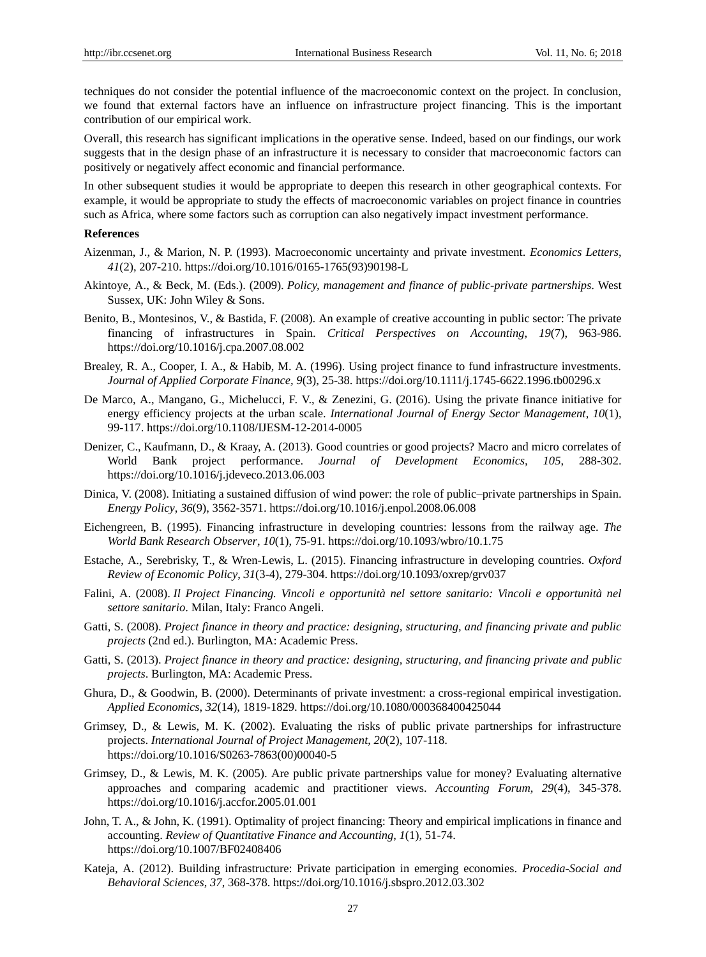techniques do not consider the potential influence of the macroeconomic context on the project. In conclusion, we found that external factors have an influence on infrastructure project financing. This is the important contribution of our empirical work.

Overall, this research has significant implications in the operative sense. Indeed, based on our findings, our work suggests that in the design phase of an infrastructure it is necessary to consider that macroeconomic factors can positively or negatively affect economic and financial performance.

In other subsequent studies it would be appropriate to deepen this research in other geographical contexts. For example, it would be appropriate to study the effects of macroeconomic variables on project finance in countries such as Africa, where some factors such as corruption can also negatively impact investment performance.

#### **References**

- Aizenman, J., & Marion, N. P. (1993). Macroeconomic uncertainty and private investment. *Economics Letters*, *41*(2), 207-210. https://doi.org/10.1016/0165-1765(93)90198-L
- Akintoye, A., & Beck, M. (Eds.). (2009). *Policy, management and finance of public-private partnerships*. West Sussex, UK: John Wiley & Sons.
- Benito, B., Montesinos, V., & Bastida, F. (2008). An example of creative accounting in public sector: The private financing of infrastructures in Spain. *Critical Perspectives on Accounting*, *19*(7), 963-986. https://doi.org/10.1016/j.cpa.2007.08.002
- Brealey, R. A., Cooper, I. A., & Habib, M. A. (1996). Using project finance to fund infrastructure investments. *Journal of Applied Corporate Finance, 9*(3), 25-38. https://doi.org/10.1111/j.1745-6622.1996.tb00296.x
- De Marco, A., Mangano, G., Michelucci, F. V., & Zenezini, G. (2016). Using the private finance initiative for energy efficiency projects at the urban scale. *International Journal of Energy Sector Management*, *10*(1), 99-117. https://doi.org/10.1108/IJESM-12-2014-0005
- Denizer, C., Kaufmann, D., & Kraay, A. (2013). Good countries or good projects? Macro and micro correlates of World Bank project performance. *Journal of Development Economics, 105*, 288-302. https://doi.org/10.1016/j.jdeveco.2013.06.003
- Dinica, V. (2008). Initiating a sustained diffusion of wind power: the role of public–private partnerships in Spain. *Energy Policy*, *36*(9), 3562-3571. https://doi.org/10.1016/j.enpol.2008.06.008
- Eichengreen, B. (1995). Financing infrastructure in developing countries: lessons from the railway age. *The World Bank Research Observer*, *10*(1), 75-91. https://doi.org/10.1093/wbro/10.1.75
- Estache, A., Serebrisky, T., & Wren-Lewis, L. (2015). Financing infrastructure in developing countries. *Oxford Review of Economic Policy*, *31*(3-4), 279-304. https://doi.org/10.1093/oxrep/grv037
- Falini, A. (2008). *Il Project Financing. Vincoli e opportunità nel settore sanitario: Vincoli e opportunità nel settore sanitario*. Milan, Italy: Franco Angeli.
- Gatti, S. (2008). *Project finance in theory and practice: designing, structuring, and financing private and public projects* (2nd ed.). Burlington, MA: Academic Press.
- Gatti, S. (2013). *Project finance in theory and practice: designing, structuring, and financing private and public projects*. Burlington, MA: Academic Press.
- Ghura, D., & Goodwin, B. (2000). Determinants of private investment: a cross-regional empirical investigation. *Applied Economics*, *32*(14), 1819-1829. https://doi.org/10.1080/000368400425044
- Grimsey, D., & Lewis, M. K. (2002). Evaluating the risks of public private partnerships for infrastructure projects. *International Journal of Project Management*, *20*(2), 107-118. https://doi.org/10.1016/S0263-7863(00)00040-5
- Grimsey, D., & Lewis, M. K. (2005). Are public private partnerships value for money? Evaluating alternative approaches and comparing academic and practitioner views. *Accounting Forum, 29*(4), 345-378. https://doi.org/10.1016/j.accfor.2005.01.001
- John, T. A., & John, K. (1991). Optimality of project financing: Theory and empirical implications in finance and accounting. *Review of Quantitative Finance and Accounting*, *1*(1), 51-74. https://doi.org/10.1007/BF02408406
- Kateja, A. (2012). Building infrastructure: Private participation in emerging economies. *Procedia-Social and Behavioral Sciences*, *37*, 368-378. https://doi.org/10.1016/j.sbspro.2012.03.302